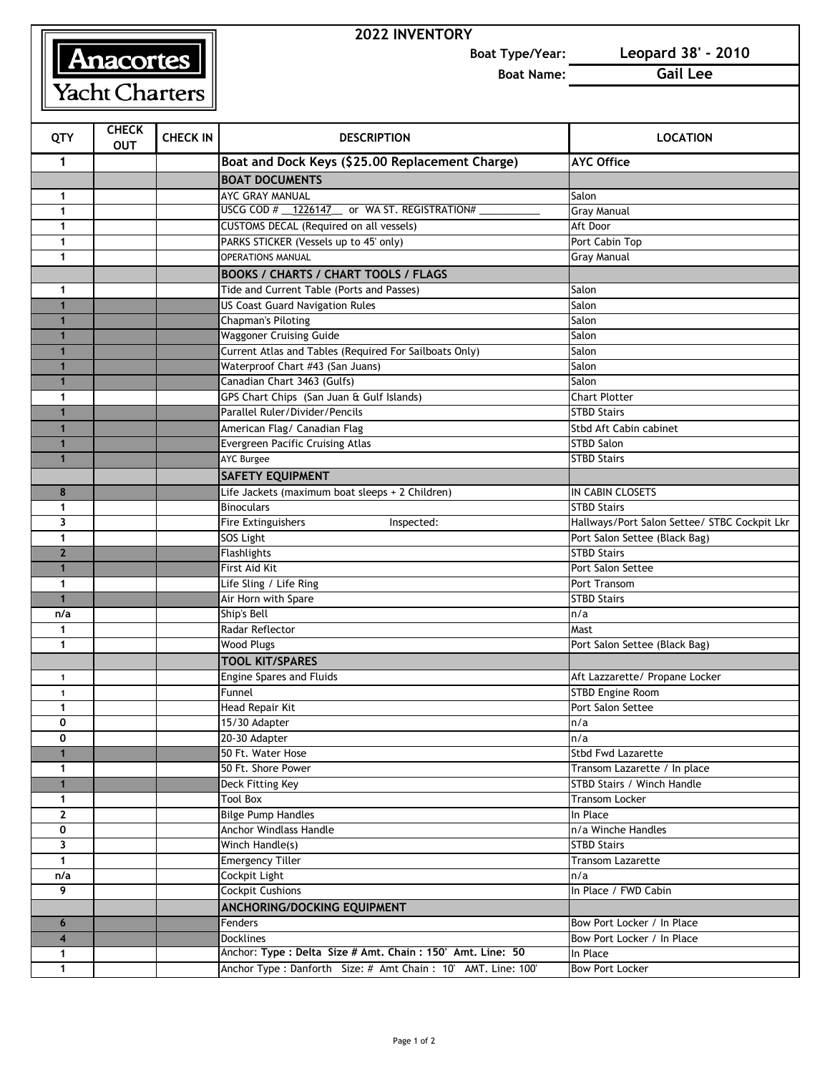## **Anacortes**

Yacht Charters

## **2022 INVENTORY**

**Boat Type/Year: Leopard 38' - 2010**

**Boat Name: Gail Lee**

| QTY                  | <b>CHECK</b><br><b>OUT</b> | <b>CHECK IN</b> | <b>DESCRIPTION</b>                                             | <b>LOCATION</b>                                           |
|----------------------|----------------------------|-----------------|----------------------------------------------------------------|-----------------------------------------------------------|
| 1                    |                            |                 | Boat and Dock Keys (\$25.00 Replacement Charge)                | <b>AYC Office</b>                                         |
|                      |                            |                 | <b>BOAT DOCUMENTS</b>                                          |                                                           |
| 1                    |                            |                 | AYC GRAY MANUAL                                                | Salon                                                     |
| 1                    |                            |                 | USCG COD # 1226147 _ or WA ST. REGISTRATION#                   | <b>Gray Manual</b>                                        |
| 1                    |                            |                 | CUSTOMS DECAL (Required on all vessels)                        | Aft Door                                                  |
| 1                    |                            |                 | PARKS STICKER (Vessels up to 45' only)                         | Port Cabin Top                                            |
| 1                    |                            |                 | <b>OPERATIONS MANUAL</b>                                       | Gray Manual                                               |
|                      |                            |                 | <b>BOOKS / CHARTS / CHART TOOLS / FLAGS</b>                    |                                                           |
| 1                    |                            |                 | Tide and Current Table (Ports and Passes)                      | Salon                                                     |
| 1                    |                            |                 | <b>US Coast Guard Navigation Rules</b>                         | Salon                                                     |
| $\blacktriangleleft$ |                            |                 | <b>Chapman's Piloting</b>                                      | Salon                                                     |
| $\mathbf{1}$         |                            |                 | <b>Waggoner Cruising Guide</b>                                 | Salon                                                     |
| $\mathbf{1}$         |                            |                 | Current Atlas and Tables (Required For Sailboats Only)         | Salon                                                     |
|                      |                            |                 | Waterproof Chart #43 (San Juans)                               | Salon                                                     |
| $\mathbf{1}$         |                            |                 | Canadian Chart 3463 (Gulfs)                                    | Salon                                                     |
| 1                    |                            |                 | GPS Chart Chips (San Juan & Gulf Islands)                      | <b>Chart Plotter</b>                                      |
| 1                    |                            |                 | Parallel Ruler/Divider/Pencils                                 | <b>STBD Stairs</b>                                        |
| 1                    |                            |                 | American Flag/ Canadian Flag                                   | Stbd Aft Cabin cabinet                                    |
|                      |                            |                 | Evergreen Pacific Cruising Atlas                               | <b>STBD Salon</b>                                         |
| 1                    |                            |                 | <b>AYC Burgee</b>                                              | <b>STBD Stairs</b>                                        |
|                      |                            |                 | <b>SAFETY EQUIPMENT</b>                                        |                                                           |
| 8                    |                            |                 | Life Jackets (maximum boat sleeps + 2 Children)                | IN CABIN CLOSETS                                          |
| 1                    |                            |                 | <b>Binoculars</b>                                              | <b>STBD Stairs</b>                                        |
| 3                    |                            |                 | Fire Extinguishers<br>Inspected:                               | Hallways/Port Salon Settee/ STBC Cockpit Lkr              |
| 1                    |                            |                 | SOS Light                                                      | Port Salon Settee (Black Bag)                             |
| $\overline{2}$       |                            |                 | Flashlights                                                    | <b>STBD Stairs</b>                                        |
| 1                    |                            |                 | First Aid Kit                                                  | Port Salon Settee                                         |
| 1                    |                            |                 | Life Sling / Life Ring                                         | Port Transom                                              |
| $\overline{1}$       |                            |                 | Air Horn with Spare                                            | <b>STBD Stairs</b>                                        |
| n/a                  |                            |                 | Ship's Bell                                                    | n/a                                                       |
| 1                    |                            |                 | Radar Reflector                                                | Mast                                                      |
| $\mathbf{1}$         |                            |                 | <b>Wood Plugs</b>                                              | Port Salon Settee (Black Bag)                             |
|                      |                            |                 | <b>TOOL KIT/SPARES</b>                                         |                                                           |
| $\mathbf{1}$         |                            |                 | <b>Engine Spares and Fluids</b>                                | Aft Lazzarette/ Propane Locker<br><b>STBD Engine Room</b> |
| $\mathbf{1}$         |                            |                 | Funnel                                                         |                                                           |
| 1<br>0               |                            |                 | Head Repair Kit<br>15/30 Adapter                               | Port Salon Settee<br>n/a                                  |
| 0                    |                            |                 | 20-30 Adapter                                                  | n/a                                                       |
|                      |                            |                 | 50 Ft. Water Hose                                              | Stbd Fwd Lazarette                                        |
| 1                    |                            |                 | 50 Ft. Shore Power                                             | Transom Lazarette / In place                              |
| $\mathbf{1}$         |                            |                 | Deck Fitting Key                                               | STBD Stairs / Winch Handle                                |
| 1                    |                            |                 | <b>Tool Box</b>                                                | <b>Transom Locker</b>                                     |
| $\mathbf{z}$         |                            |                 | <b>Bilge Pump Handles</b>                                      | In Place                                                  |
| 0                    |                            |                 | Anchor Windlass Handle                                         | n/a Winche Handles                                        |
| 3                    |                            |                 | Winch Handle(s)                                                | <b>STBD Stairs</b>                                        |
| $\mathbf{1}$         |                            |                 | <b>Emergency Tiller</b>                                        | <b>Transom Lazarette</b>                                  |
| n/a                  |                            |                 | Cockpit Light                                                  | n/a                                                       |
| 9                    |                            |                 | <b>Cockpit Cushions</b>                                        | In Place / FWD Cabin                                      |
|                      |                            |                 | ANCHORING/DOCKING EQUIPMENT                                    |                                                           |
| 6                    |                            |                 | Fenders                                                        | Bow Port Locker / In Place                                |
| $\overline{4}$       |                            |                 | <b>Docklines</b>                                               | Bow Port Locker / In Place                                |
| 1                    |                            |                 | Anchor: Type : Delta Size # Amt. Chain : 150' Amt. Line: 50    | In Place                                                  |
| $\mathbf{1}$         |                            |                 | Anchor Type : Danforth Size: # Amt Chain : 10' AMT. Line: 100' | <b>Bow Port Locker</b>                                    |